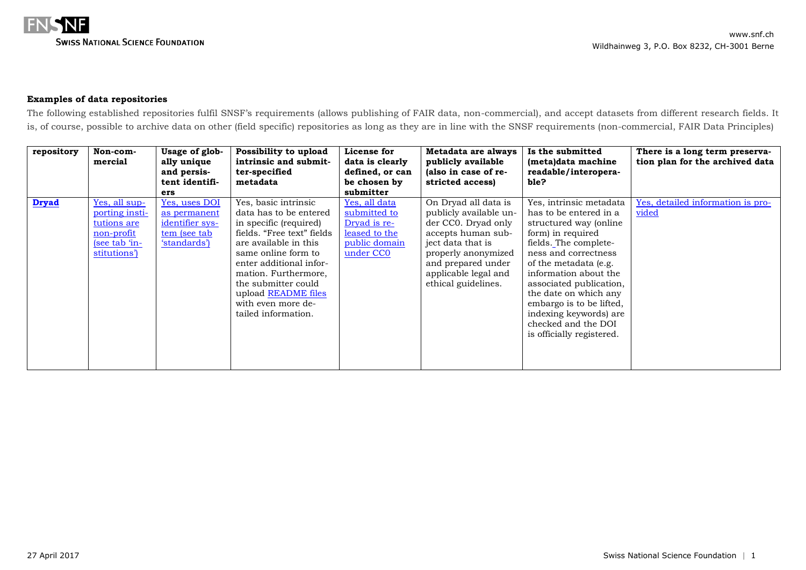

## **Examples of data repositories**

The following established repositories fulfil SNSF's requirements (allows publishing of FAIR data, non-commercial), and accept datasets from different research fields. It is, of course, possible to archive data on other (field specific) repositories as long as they are in line with the SNSF requirements (non-commercial, FAIR Data Principles)

| repository   | Non-com-<br>mercial                                                                                   | Usage of glob-<br>ally unique<br>and persis-<br>tent identifi-<br>ers             | Possibility to upload<br>intrinsic and submit-<br>ter-specified<br>metadata                                                                                                                                                                                                                          | License for<br>data is clearly<br>defined, or can<br>be chosen by<br>submitter                           | Metadata are always<br>publicly available<br>(also in case of re-<br>stricted access)                                                                                                                        | Is the submitted<br>(meta)data machine<br>readable/interopera-<br>ble?                                                                                                                                                                                                                                                                                            | There is a long term preserva-<br>tion plan for the archived data |
|--------------|-------------------------------------------------------------------------------------------------------|-----------------------------------------------------------------------------------|------------------------------------------------------------------------------------------------------------------------------------------------------------------------------------------------------------------------------------------------------------------------------------------------------|----------------------------------------------------------------------------------------------------------|--------------------------------------------------------------------------------------------------------------------------------------------------------------------------------------------------------------|-------------------------------------------------------------------------------------------------------------------------------------------------------------------------------------------------------------------------------------------------------------------------------------------------------------------------------------------------------------------|-------------------------------------------------------------------|
| <b>Dryad</b> | <u>Yes, all sup-</u><br>porting insti-<br>tutions are<br>non-profit<br>$(see tab in-$<br>stitutions') | Yes, uses DOI<br>as permanent<br>identifier sys-<br>tem (see tab)<br>'standards') | Yes, basic intrinsic<br>data has to be entered<br>in specific (required)<br>fields. "Free text" fields<br>are available in this<br>same online form to<br>enter additional infor-<br>mation. Furthermore,<br>the submitter could<br>upload README files<br>with even more de-<br>tailed information. | Yes, all data<br>submitted to<br>Dryad is re-<br>leased to the<br>public domain<br>under CC <sub>0</sub> | On Dryad all data is<br>publicly available un-<br>der CCO. Dryad only<br>accepts human sub-<br>ject data that is<br>properly anonymized<br>and prepared under<br>applicable legal and<br>ethical guidelines. | Yes, intrinsic metadata<br>has to be entered in a<br>structured way (online<br>form) in required<br>fields. The complete-<br>ness and correctness<br>of the metadata (e.g.<br>information about the<br>associated publication,<br>the date on which any<br>embargo is to be lifted,<br>indexing keywords) are<br>checked and the DOI<br>is officially registered. | Yes, detailed information is pro-<br>vided                        |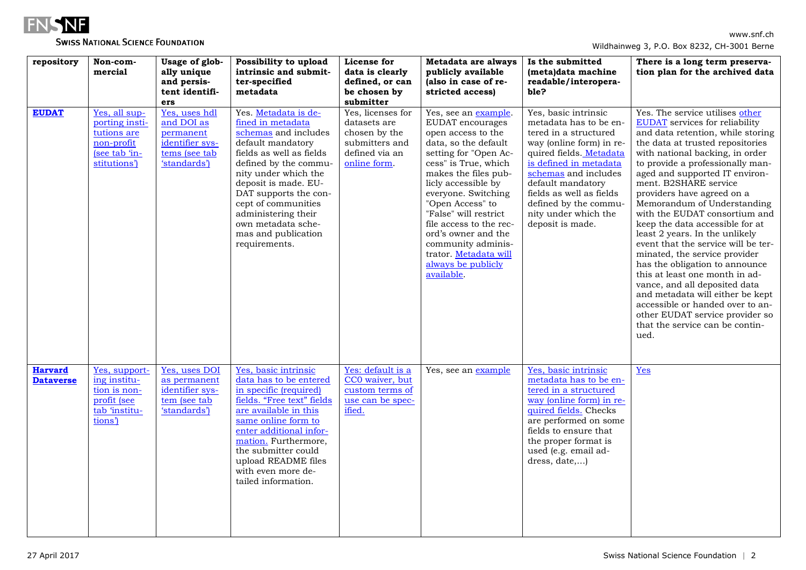

## **SWISS NATIONAL SCIENCE FOUNDATION**

| repository                         | Non-com-<br>mercial                                                                           | Usage of glob-<br>ally unique<br>and persis-                                                 | Possibility to upload<br>intrinsic and submit-<br>ter-specified                                                                                                                                                                                                                                                                  | License for<br>data is clearly<br>defined, or can                                                      | Metadata are always<br>publicly available<br>(also in case of re-                                                                                                                                                                                                                                                                                                                               | Is the submitted<br>(meta)data machine<br>readable/interopera-                                                                                                                                                                                                                                         | There is a long term preserva-<br>tion plan for the archived data                                                                                                                                                                                                                                                                                                                                                                                                                                                                                                                                                                                                                                                                                                                  |
|------------------------------------|-----------------------------------------------------------------------------------------------|----------------------------------------------------------------------------------------------|----------------------------------------------------------------------------------------------------------------------------------------------------------------------------------------------------------------------------------------------------------------------------------------------------------------------------------|--------------------------------------------------------------------------------------------------------|-------------------------------------------------------------------------------------------------------------------------------------------------------------------------------------------------------------------------------------------------------------------------------------------------------------------------------------------------------------------------------------------------|--------------------------------------------------------------------------------------------------------------------------------------------------------------------------------------------------------------------------------------------------------------------------------------------------------|------------------------------------------------------------------------------------------------------------------------------------------------------------------------------------------------------------------------------------------------------------------------------------------------------------------------------------------------------------------------------------------------------------------------------------------------------------------------------------------------------------------------------------------------------------------------------------------------------------------------------------------------------------------------------------------------------------------------------------------------------------------------------------|
|                                    |                                                                                               | tent identifi-<br>ers                                                                        | metadata                                                                                                                                                                                                                                                                                                                         | be chosen by<br>submitter                                                                              | stricted access)                                                                                                                                                                                                                                                                                                                                                                                | ble?                                                                                                                                                                                                                                                                                                   |                                                                                                                                                                                                                                                                                                                                                                                                                                                                                                                                                                                                                                                                                                                                                                                    |
| <b>EUDAT</b>                       | Yes, all sup-<br>porting insti-<br>tutions are<br>non-profit<br>(see tab 'in-<br>stitutions') | Yes, uses hdl<br>and DOI as<br>permanent<br>identifier sys-<br>tems (see tab<br>'standards') | Yes. Metadata is de-<br>fined in metadata<br>schemas and includes<br>default mandatory<br>fields as well as fields<br>defined by the commu-<br>nity under which the<br>deposit is made. EU-<br>DAT supports the con-<br>cept of communities<br>administering their<br>own metadata sche-<br>mas and publication<br>requirements. | Yes, licenses for<br>datasets are<br>chosen by the<br>submitters and<br>defined via an<br>online form. | Yes, see an example.<br>EUDAT encourages<br>open access to the<br>data, so the default<br>setting for "Open Ac-<br>cess" is True, which<br>makes the files pub-<br>licly accessible by<br>everyone. Switching<br>"Open Access" to<br>"False" will restrict<br>file access to the rec-<br>ord's owner and the<br>community adminis-<br>trator. Metadata will<br>always be publicly<br>available. | Yes, basic intrinsic<br>metadata has to be en-<br>tered in a structured<br>way (online form) in re-<br>quired fields. Metadata<br>is defined in metadata<br>schemas and includes<br>default mandatory<br>fields as well as fields<br>defined by the commu-<br>nity under which the<br>deposit is made. | Yes. The service utilises other<br>EUDAT services for reliability<br>and data retention, while storing<br>the data at trusted repositories<br>with national backing, in order<br>to provide a professionally man-<br>aged and supported IT environ-<br>ment. B2SHARE service<br>providers have agreed on a<br>Memorandum of Understanding<br>with the EUDAT consortium and<br>keep the data accessible for at<br>least 2 years. In the unlikely<br>event that the service will be ter-<br>minated, the service provider<br>has the obligation to announce<br>this at least one month in ad-<br>vance, and all deposited data<br>and metadata will either be kept<br>accessible or handed over to an-<br>other EUDAT service provider so<br>that the service can be contin-<br>ued. |
| <b>Harvard</b><br><b>Dataverse</b> | Yes, support-<br>ing institu-<br>tion is non-<br>profit (see<br>tab 'institu-<br>tions')      | Yes, uses DOI<br>as permanent<br>identifier sys-<br>tem (see tab<br>'standards')             | Yes, basic intrinsic<br>data has to be entered<br>in specific (required)<br>fields. "Free text" fields<br>are available in this<br>same online form to<br>enter additional infor-<br>mation. Furthermore,<br>the submitter could<br>upload README files<br>with even more de-<br>tailed information.                             | Yes: default is a<br>CC0 waiver, but<br>custom terms of<br>use can be spec-<br>ified.                  | Yes, see an example                                                                                                                                                                                                                                                                                                                                                                             | Yes, basic intrinsic<br>metadata has to be en-<br>tered in a structured<br>way (online form) in re-<br>quired fields. Checks<br>are performed on some<br>fields to ensure that<br>the proper format is<br>used (e.g. email ad-<br>dress, date,)                                                        | <b>Yes</b>                                                                                                                                                                                                                                                                                                                                                                                                                                                                                                                                                                                                                                                                                                                                                                         |